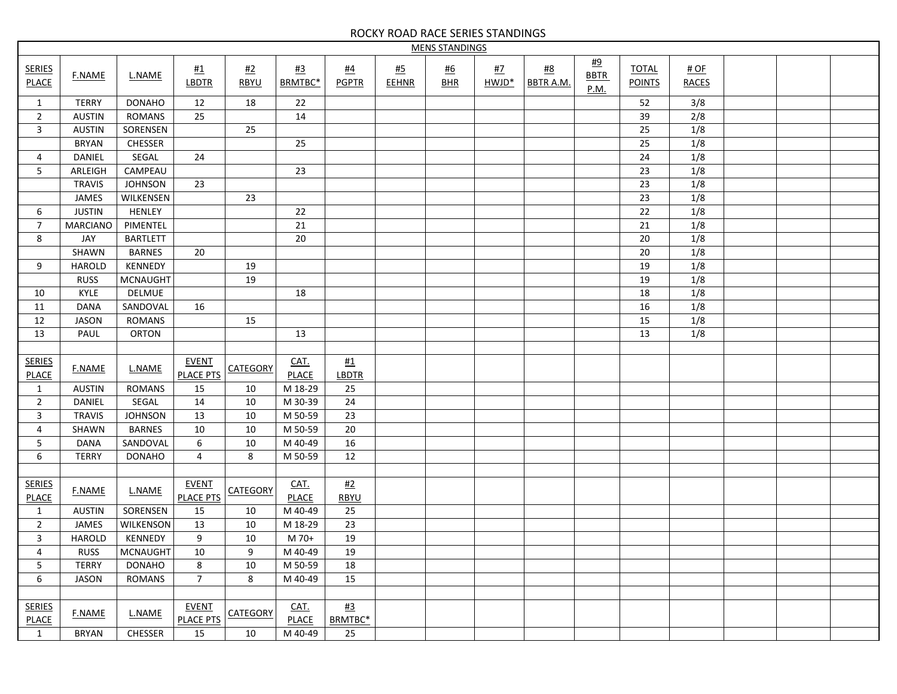## ROCKY ROAD RACE SERIES STANDINGS

| <b>MENS STANDINGS</b>         |                 |                 |                                   |                   |                          |                           |                    |                         |                                |                           |                           |                               |                      |  |  |
|-------------------------------|-----------------|-----------------|-----------------------------------|-------------------|--------------------------|---------------------------|--------------------|-------------------------|--------------------------------|---------------------------|---------------------------|-------------------------------|----------------------|--|--|
| <b>SERIES</b><br><b>PLACE</b> | <b>F.NAME</b>   | L.NAME          | $\frac{\#1}{\#2}$<br><b>LBDTR</b> | #2<br><b>RBYU</b> | $\frac{#3}{}$<br>BRMTBC* | <u>#4</u><br><b>PGPTR</b> | #5<br><b>EEHNR</b> | <u>#6</u><br><b>BHR</b> | <u>#7</u><br>HWJD <sup>*</sup> | $\#8$<br><b>BBTR A.M.</b> | #9<br><b>BBTR</b><br>P.M. | <b>TOTAL</b><br><b>POINTS</b> | # OF<br><b>RACES</b> |  |  |
| 1                             | <b>TERRY</b>    | <b>DONAHO</b>   | 12                                | 18                | 22                       |                           |                    |                         |                                |                           |                           | 52                            | 3/8                  |  |  |
| $\overline{2}$                | <b>AUSTIN</b>   | <b>ROMANS</b>   | 25                                |                   | 14                       |                           |                    |                         |                                |                           |                           | 39                            | 2/8                  |  |  |
| 3                             | <b>AUSTIN</b>   | SORENSEN        |                                   | 25                |                          |                           |                    |                         |                                |                           |                           | 25                            | 1/8                  |  |  |
|                               | <b>BRYAN</b>    | CHESSER         |                                   |                   | 25                       |                           |                    |                         |                                |                           |                           | 25                            | 1/8                  |  |  |
| 4                             | <b>DANIEL</b>   | SEGAL           | 24                                |                   |                          |                           |                    |                         |                                |                           |                           | 24                            | 1/8                  |  |  |
| 5                             | ARLEIGH         | CAMPEAU         |                                   |                   | 23                       |                           |                    |                         |                                |                           |                           | 23                            | 1/8                  |  |  |
|                               | <b>TRAVIS</b>   | <b>JOHNSON</b>  | 23                                |                   |                          |                           |                    |                         |                                |                           |                           | 23                            | 1/8                  |  |  |
|                               | JAMES           | WILKENSEN       |                                   | 23                |                          |                           |                    |                         |                                |                           |                           | 23                            | 1/8                  |  |  |
| 6                             | <b>JUSTIN</b>   | HENLEY          |                                   |                   | 22                       |                           |                    |                         |                                |                           |                           | 22                            | 1/8                  |  |  |
| $\overline{7}$                | <b>MARCIANO</b> | PIMENTEL        |                                   |                   | 21                       |                           |                    |                         |                                |                           |                           | 21                            | 1/8                  |  |  |
| 8                             | JAY             | <b>BARTLETT</b> |                                   |                   | 20                       |                           |                    |                         |                                |                           |                           | 20                            | 1/8                  |  |  |
|                               | SHAWN           | <b>BARNES</b>   | 20                                |                   |                          |                           |                    |                         |                                |                           |                           | 20                            | 1/8                  |  |  |
|                               | <b>HAROLD</b>   | KENNEDY         |                                   | 19                |                          |                           |                    |                         |                                |                           |                           |                               |                      |  |  |
| 9                             |                 |                 |                                   |                   |                          |                           |                    |                         |                                |                           |                           | 19                            | 1/8                  |  |  |
|                               | <b>RUSS</b>     | <b>MCNAUGHT</b> |                                   | 19                |                          |                           |                    |                         |                                |                           |                           | 19                            | 1/8                  |  |  |
| 10                            | KYLE            | DELMUE          |                                   |                   | 18                       |                           |                    |                         |                                |                           |                           | 18                            | 1/8                  |  |  |
| 11                            | <b>DANA</b>     | SANDOVAL        | 16                                |                   |                          |                           |                    |                         |                                |                           |                           | 16                            | 1/8                  |  |  |
| 12                            | <b>JASON</b>    | <b>ROMANS</b>   |                                   | 15                |                          |                           |                    |                         |                                |                           |                           | 15                            | 1/8                  |  |  |
| 13                            | PAUL            | <b>ORTON</b>    |                                   |                   | 13                       |                           |                    |                         |                                |                           |                           | 13                            | 1/8                  |  |  |
|                               |                 |                 |                                   |                   |                          |                           |                    |                         |                                |                           |                           |                               |                      |  |  |
| <b>SERIES</b>                 | <b>F.NAME</b>   | L.NAME          | <b>EVENT</b>                      | <b>CATEGORY</b>   | CAT.                     | <b>#1</b>                 |                    |                         |                                |                           |                           |                               |                      |  |  |
| <b>PLACE</b>                  |                 |                 | <b>PLACE PTS</b>                  |                   | <b>PLACE</b>             | <b>LBDTR</b>              |                    |                         |                                |                           |                           |                               |                      |  |  |
| $\mathbf{1}$                  | <b>AUSTIN</b>   | <b>ROMANS</b>   | 15                                | 10                | M 18-29                  | 25                        |                    |                         |                                |                           |                           |                               |                      |  |  |
| $\overline{2}$                | <b>DANIEL</b>   | SEGAL           | 14                                | 10                | M 30-39                  | 24                        |                    |                         |                                |                           |                           |                               |                      |  |  |
| 3                             | <b>TRAVIS</b>   | <b>JOHNSON</b>  | 13                                | 10                | M 50-59                  | 23                        |                    |                         |                                |                           |                           |                               |                      |  |  |
| 4                             | SHAWN           | <b>BARNES</b>   | 10                                | 10                | M 50-59                  | 20                        |                    |                         |                                |                           |                           |                               |                      |  |  |
| 5                             | <b>DANA</b>     | SANDOVAL        | $\,6\,$                           | 10                | M 40-49                  | 16                        |                    |                         |                                |                           |                           |                               |                      |  |  |
| 6                             | <b>TERRY</b>    | <b>DONAHO</b>   | $\overline{4}$                    | 8                 | M 50-59                  | 12                        |                    |                         |                                |                           |                           |                               |                      |  |  |
|                               |                 |                 |                                   |                   |                          |                           |                    |                         |                                |                           |                           |                               |                      |  |  |
| <b>SERIES</b><br><b>PLACE</b> | <b>F.NAME</b>   | L.NAME          | <b>EVENT</b><br><b>PLACE PTS</b>  | <b>CATEGORY</b>   | CAT.<br><b>PLACE</b>     | #2<br><b>RBYU</b>         |                    |                         |                                |                           |                           |                               |                      |  |  |
| $\mathbf{1}$                  | <b>AUSTIN</b>   | SORENSEN        | 15                                | 10                | M 40-49                  | 25                        |                    |                         |                                |                           |                           |                               |                      |  |  |
| $\overline{2}$                | JAMES           | WILKENSON       | 13                                | 10                | M 18-29                  | 23                        |                    |                         |                                |                           |                           |                               |                      |  |  |
| 3                             | <b>HAROLD</b>   | KENNEDY         | 9                                 | 10                | M 70+                    | 19                        |                    |                         |                                |                           |                           |                               |                      |  |  |
| 4                             | <b>RUSS</b>     | <b>MCNAUGHT</b> | $10\,$                            | 9                 | M 40-49                  | 19                        |                    |                         |                                |                           |                           |                               |                      |  |  |
| 5                             | TERRY           | <b>DONAHO</b>   | 8                                 | 10                | M 50-59                  | 18                        |                    |                         |                                |                           |                           |                               |                      |  |  |
| 6                             | <b>JASON</b>    | ROMANS          | $\overline{7}$                    | 8                 | M 40-49                  | 15                        |                    |                         |                                |                           |                           |                               |                      |  |  |
|                               |                 |                 |                                   |                   |                          |                           |                    |                         |                                |                           |                           |                               |                      |  |  |
| <b>SERIES</b><br><b>PLACE</b> | <b>F.NAME</b>   | L.NAME          | <b>EVENT</b><br><b>PLACE PTS</b>  | <b>CATEGORY</b>   | $CAT$ .<br><b>PLACE</b>  | $\frac{43}{1}$<br>BRMTBC* |                    |                         |                                |                           |                           |                               |                      |  |  |
| 1                             | <b>BRYAN</b>    | CHESSER         | 15                                | 10                | M 40-49                  | 25                        |                    |                         |                                |                           |                           |                               |                      |  |  |